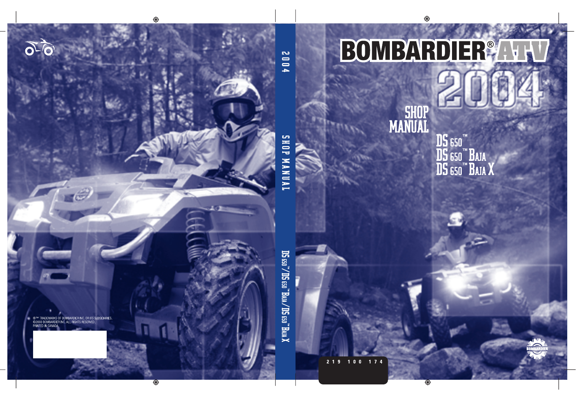# BOMBARDIER®

 $\mathbb{Z}$ 

# SHOP<br>MANUAL

**DS** 650™<br>DS 650™ Baja<br>DS 650™ Baja X

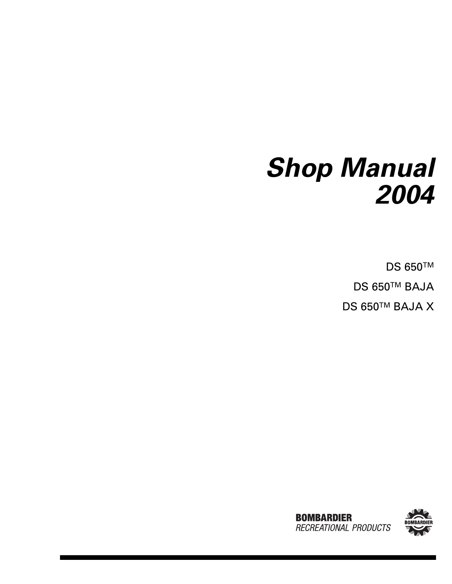# <span id="page-1-0"></span>*Shop Manual 2004*

DS 650™ DS 650™ BAJA DS 650™ BAJA X



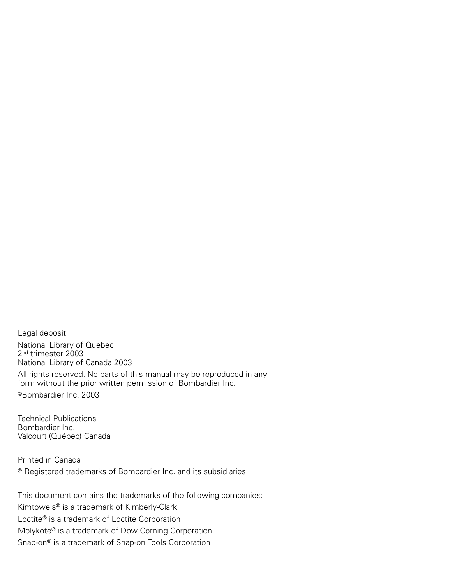<span id="page-2-0"></span>Legal deposit: National Library of Quebec 2nd trimester 2003 National Library of Canada 2003

All rights reserved. No parts of this manual may be reproduced in any form without the prior written permission of Bombardier Inc. ©Bombardier Inc. 2003

Technical Publications Bombardier Inc. Valcourt (Québec) Canada

Printed in Canada ® Registered trademarks of Bombardier Inc. and its subsidiaries.

This document contains the trademarks of the following companies: Kimtowels® is a trademark of Kimberly-Clark Loctite® is a trademark of Loctite Corporation Molykote® is a trademark of Dow Corning Corporation Snap-on® is a trademark of Snap-on Tools Corporation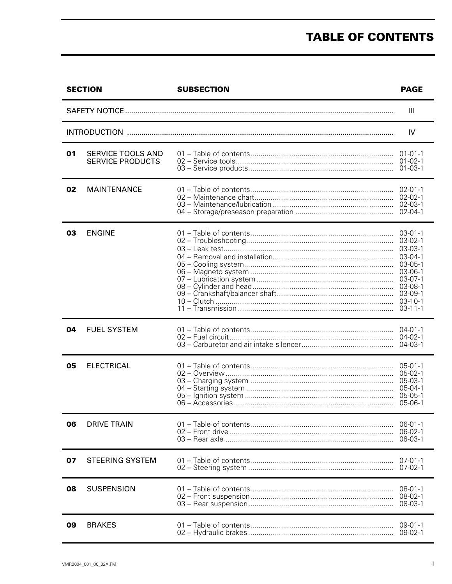# **TABLE OF CONTENTS**

|    | <b>SECTION</b>                               | <b>SUBSECTION</b> | <b>PAGE</b>                                                                                                                                                   |
|----|----------------------------------------------|-------------------|---------------------------------------------------------------------------------------------------------------------------------------------------------------|
|    |                                              |                   | $\mathbf{III}$                                                                                                                                                |
|    |                                              |                   | IV                                                                                                                                                            |
| 01 | SERVICE TOOLS AND<br><b>SERVICE PRODUCTS</b> |                   | $01 - 01 - 1$<br>$01 - 02 - 1$<br>$01 - 03 - 1$                                                                                                               |
| 02 | <b>MAINTENANCE</b>                           |                   | $02 - 01 - 1$<br>$02 - 02 - 1$<br>$02 - 03 - 1$<br>02-04-1                                                                                                    |
| 03 | <b>ENGINE</b>                                |                   | $03 - 01 - 1$<br>$03-02-1$<br>03-03-1<br>$03-04-1$<br>$03 - 05 - 1$<br>$03 - 06 - 1$<br>$03-07-1$<br>$03-08-1$<br>$03-09-1$<br>$03 - 10 - 1$<br>$03 - 11 - 1$ |
| 04 | <b>FUEL SYSTEM</b>                           |                   | $04 - 01 - 1$<br>$04 - 02 - 1$<br>$04 - 03 - 1$                                                                                                               |
| 05 | <b>ELECTRICAL</b>                            |                   | $05 - 01 - 1$<br>$05-02-1$<br>$05 - 03 - 1$<br>05-04-1<br>$05 - 05 - 1$<br>$05-06-1$                                                                          |
| 06 | <b>DRIVE TRAIN</b>                           |                   | $06 - 01 - 1$<br>$06 - 02 - 1$<br>06-03-1                                                                                                                     |
| 07 | <b>STEERING SYSTEM</b>                       |                   | $07 - 01 - 1$<br>$07 - 02 - 1$                                                                                                                                |
| 08 | <b>SUSPENSION</b>                            |                   | $08 - 01 - 1$<br>08-02-1<br>08-03-1                                                                                                                           |
| 09 | <b>BRAKES</b>                                |                   | $09 - 01 - 1$<br>$09-02-1$                                                                                                                                    |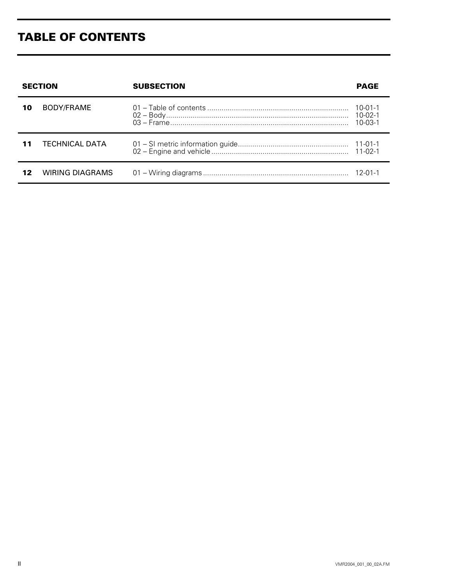# **TABLE OF CONTENTS**

|    | <b>SECTION</b>         | <b>SUBSECTION</b> | <b>PAGE</b>                                     |
|----|------------------------|-------------------|-------------------------------------------------|
| 10 | BODY/FRAME             |                   | $10 - 01 - 1$<br>$10 - 02 - 1$<br>$10 - 03 - 1$ |
|    | <b>TECHNICAL DATA</b>  |                   | $11 - 02 - 1$                                   |
| 12 | <b>WIRING DIAGRAMS</b> |                   |                                                 |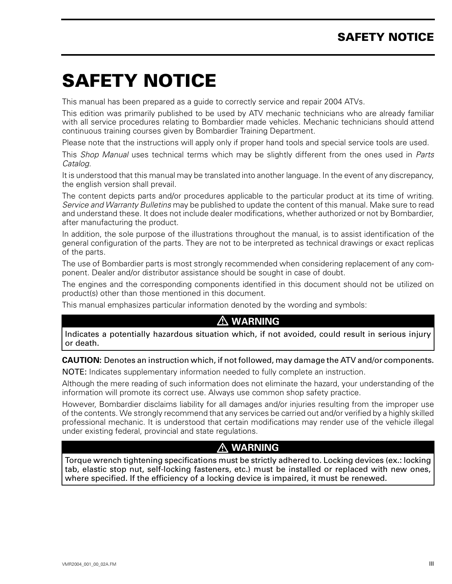# <span id="page-5-0"></span>**SAFETY NOTICE 0**

This manual has been prepared as a guide to correctly service and repair 2004 ATVs.

This edition was primarily published to be used by ATV mechanic technicians who are already familiar with all service procedures relating to Bombardier made vehicles. Mechanic technicians should attend continuous training courses given by Bombardier Training Department.

Please note that the instructions will apply only if proper hand tools and special service tools are used.

This *Shop Manual* uses technical terms which may be slightly different from the ones used in *Parts Catalog*.

It is understood that this manual may be translated into another language. In the event of any discrepancy, the english version shall prevail.

The content depicts parts and/or procedures applicable to the particular product at its time of writing. *Service and Warranty Bulletins* may be published to update the content of this manual. Make sure to read and understand these. It does not include dealer modifications, whether authorized or not by Bombardier, after manufacturing the product.

In addition, the sole purpose of the illustrations throughout the manual, is to assist identification of the general configuration of the parts. They are not to be interpreted as technical drawings or exact replicas of the parts.

The use of Bombardier parts is most strongly recommended when considering replacement of any component. Dealer and/or distributor assistance should be sought in case of doubt.

The engines and the corresponding components identified in this document should not be utilized on product(s) other than those mentioned in this document.

This manual emphasizes particular information denoted by the wording and symbols:

#### **WARNING**

Indicates a potentially hazardous situation which, if not avoided, could result in serious injury or death.

#### **CAUTION:** Denotes an instruction which, if not followed, may damage the ATV and/or components.

NOTE: Indicates supplementary information needed to fully complete an instruction.

Although the mere reading of such information does not eliminate the hazard, your understanding of the information will promote its correct use. Always use common shop safety practice.

However, Bombardier disclaims liability for all damages and/or injuries resulting from the improper use of the contents. We strongly recommend that any services be carried out and/or verified by a highly skilled professional mechanic. It is understood that certain modifications may render use of the vehicle illegal under existing federal, provincial and state regulations.

#### **WARNING**

Torque wrench tightening specifications must be strictly adhered to. Locking devices (ex.: locking tab, elastic stop nut, self-locking fasteners, etc.) must be installed or replaced with new ones, where specified. If the efficiency of a locking device is impaired, it must be renewed.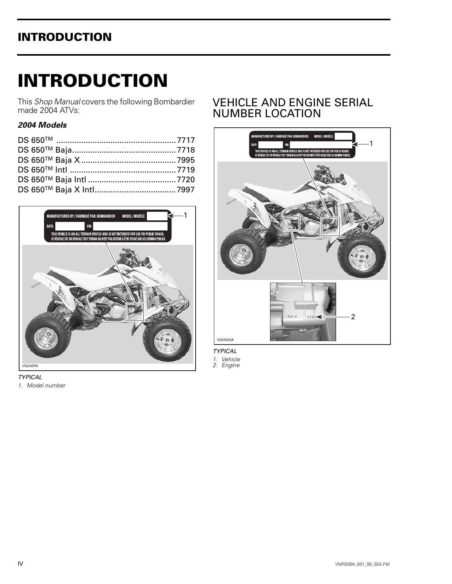<span id="page-6-0"></span>This *Shop Manual* covers the following Bombardier made 2004 ATVs:

#### *2004 Models*



# VEHICLE AND ENGINE SERIAL NUMBER LOCATION



*TYPICAL*

*1. Vehicle*

*2. Engine*

*TYPICAL*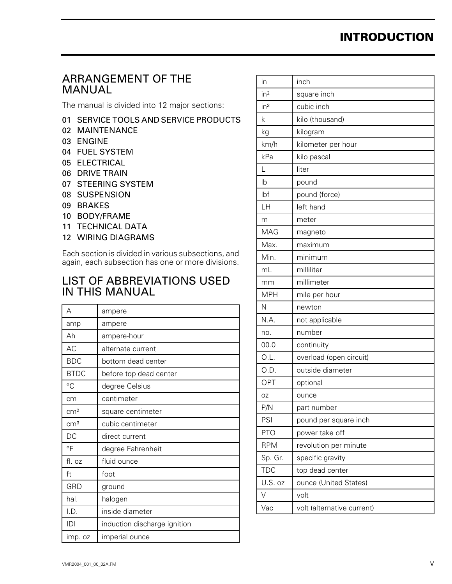# ARRANGEMENT OF THE MANUAL

The manual is divided into 12 major sections:

- 01 SERVICE TOOLS AND SERVICE PRODUCTS
- 02 MAINTENANCE
- 03 ENGINE
- 04 FUEL SYSTEM
- 05 ELECTRICAL
- 06 DRIVE TRAIN
- 07 STEERING SYSTEM
- 08 SUSPENSION
- 09 BRAKES
- 10 BODY/FRAME
- 11 TECHNICAL DATA
- 12 WIRING DIAGRAMS

Each section is divided in various subsections, and again, each subsection has one or more divisions.

## LIST OF ABBREVIATIONS USED IN THIS MANUAL

| А               | ampere                       |
|-----------------|------------------------------|
| amp             | ampere                       |
| Ah              | ampere-hour                  |
| AC              | alternate current            |
| <b>BDC</b>      | bottom dead center           |
| <b>BTDC</b>     | before top dead center       |
| °C              | degree Celsius               |
| cm              | centimeter                   |
| cm <sup>2</sup> | square centimeter            |
| cm <sup>3</sup> | cubic centimeter             |
| DC              | direct current               |
| °F              | degree Fahrenheit            |
| fl. oz          | fluid ounce                  |
| ft              | foot                         |
| GRD             | ground                       |
| hal.            | halogen                      |
| I.D.            | inside diameter              |
| D               | induction discharge ignition |
| imp. oz         | imperial ounce               |
|                 |                              |

| in              | inch                       |
|-----------------|----------------------------|
| in <sup>2</sup> | square inch                |
| in <sup>3</sup> | cubic inch                 |
| k               | kilo (thousand)            |
| kg              | kilogram                   |
| km/h            | kilometer per hour         |
| kPa             | kilo pascal                |
| L               | liter                      |
| Ib              | pound                      |
| Ibf             | pound (force)              |
| LH              | left hand                  |
| m               | meter                      |
| MAG             | magneto                    |
| Max.            | maximum                    |
| Min.            | minimum                    |
| mL              | milliliter                 |
| mm              | millimeter                 |
| <b>MPH</b>      | mile per hour              |
| N               | newton                     |
| N.A.            | not applicable             |
| no.             | number                     |
| 00.0            | continuity                 |
| O.L.            | overload (open circuit)    |
| O.D.            | outside diameter           |
| OPT             | optional                   |
| OZ              | ounce                      |
| P/N             | part number                |
| PSI             | pound per square inch      |
| <b>PTO</b>      | power take off             |
| <b>RPM</b>      | revolution per minute      |
| Sp. Gr.         | specific gravity           |
| <b>TDC</b>      | top dead center            |
| U.S. oz         | ounce (United States)      |
| V               | volt                       |
| Vac             | volt (alternative current) |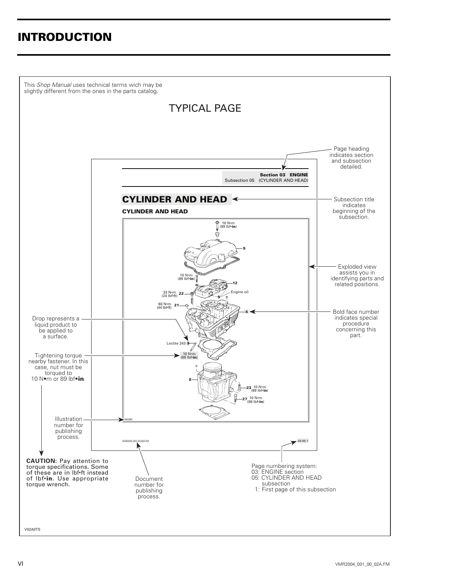This Shop Manual uses technical terms wich may be slightly different from the ones in the parts catalog. **TYPICAL PAGE** - Page heading<br>indicates section<br>and subsection detailed. Section 03 ENGINE Subsection 05 (CYLINDER AND HEAD) CYLINDER AND HEAD ← Subsection title indicates<br>beginning of the<br>subsection. **CYLINDER AND HEAD** <sup>●</sup> 10 N•m<br>| (89 lbf•**in**) g Exploded view assists you in 10 N·m<br>(89 lbf•in) identifying parts and related positions. 33 N · m<br>(24 lbf · ft) 22  $60 N·m$ <br>(44 lbf•ft) 21 Bold face number indicates special Drop represents a procedure liquid product to concerning this be applied to a surface. Loctite 243 Tightening torque -<br>nearby fastener. In this 10  $N \cdot m$ <br>(89 Ibf $\cdot$ in) case, nut must be torqued to 10 Nom or 89  $lbf$ 23, 10 N·m<br>(89 lbf•in)  $27^{10 \text{ N} \cdot \text{m}}_{(89 \text{ lbf} \cdot \text{in})}$ Illustrationnumber for publishing process.  $-03-05-1$ 5A.FM **CAUTION:** Pay attention to

Document

number for publishing process.

Page numbering system:<br>03: ENGINE section<br>05: CYLINDER AND HEAD subsection<br>1: First page of this subsection

V02A0TS

torque specifications. Some of these are in Ibf.ft instead of Ibf.in. Use appropriate

torque wrench.

part.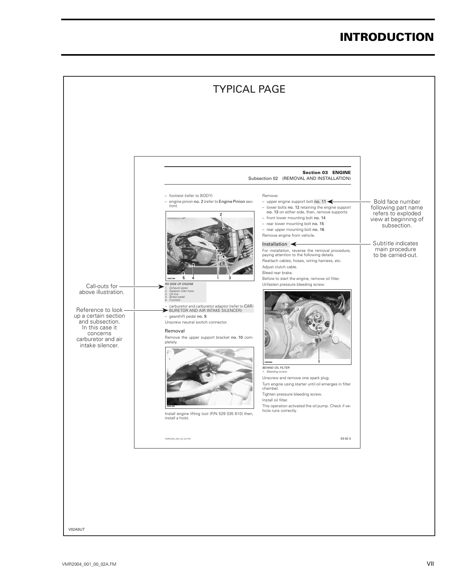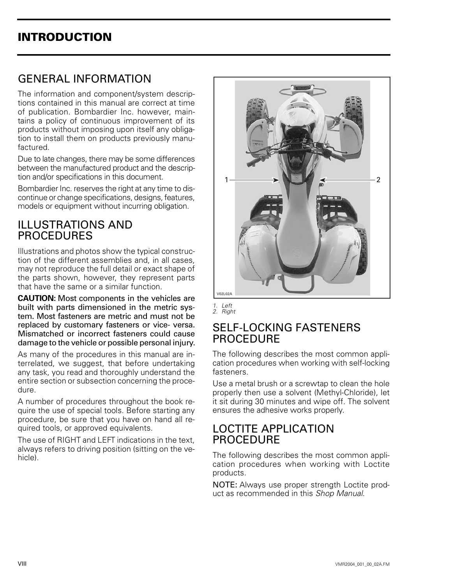# GENERAL INFORMATION

The information and component/system descriptions contained in this manual are correct at time of publication. Bombardier Inc. however, maintains a policy of continuous improvement of its products without imposing upon itself any obligation to install them on products previously manufactured.

Due to late changes, there may be some differences between the manufactured product and the description and/or specifications in this document.

Bombardier Inc. reserves the right at any time to discontinue or change specifications, designs, features, models or equipment without incurring obligation.

## ILLUSTRATIONS AND **PROCEDURES**

Illustrations and photos show the typical construction of the different assemblies and, in all cases, may not reproduce the full detail or exact shape of the parts shown, however, they represent parts that have the same or a similar function.

**CAUTION:** Most components in the vehicles are built with parts dimensioned in the metric system. Most fasteners are metric and must not be replaced by customary fasteners or vice- versa. Mismatched or incorrect fasteners could cause damage to the vehicle or possible personal injury.

As many of the procedures in this manual are interrelated, we suggest, that before undertaking any task, you read and thoroughly understand the entire section or subsection concerning the procedure.

A number of procedures throughout the book require the use of special tools. Before starting any procedure, be sure that you have on hand all required tools, or approved equivalents.

The use of RIGHT and LEFT indications in the text, always refers to driving position (sitting on the vehicle).



*1. Left 2. Right*

### SELF-LOCKING FASTENERS PROCEDURE

The following describes the most common application procedures when working with self-locking fasteners.

Use a metal brush or a screwtap to clean the hole properly then use a solvent (Methyl-Chloride), let it sit during 30 minutes and wipe off. The solvent ensures the adhesive works properly.

## LOCTITE APPLICATION **PROCEDURE**

The following describes the most common application procedures when working with Loctite products.

NOTE: Always use proper strength Loctite product as recommended in this *Shop Manual*.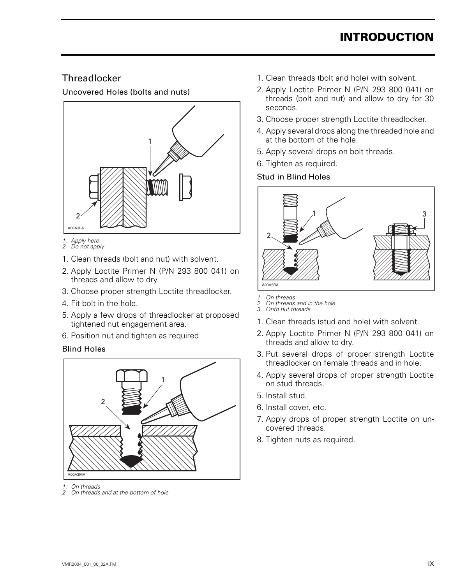#### **Threadlocker**

Uncovered Holes (bolts and nuts)



- *1. Apply here 2. Do not apply*
- 1. Clean threads (bolt and nut) with solvent.
- 2. Apply Loctite Primer N (P/N 293 800 041) on threads and allow to dry.
- 3. Choose proper strength Loctite threadlocker.
- 4. Fit bolt in the hole.
- 5. Apply a few drops of threadlocker at proposed tightened nut engagement area.
- 6. Position nut and tighten as required.

#### Blind Holes



- *1. On threads*
- *2. On threads and at the bottom of hole*
- 1. Clean threads (bolt and hole) with solvent.
- 2. Apply Loctite Primer N (P/N 293 800 041) on threads (bolt and nut) and allow to dry for 30 seconds.
- 3. Choose proper strength Loctite threadlocker.
- 4. Apply several drops along the threaded hole and at the bottom of the hole.
- 5. Apply several drops on bolt threads.
- 6. Tighten as required.

#### Stud in Blind Holes



- *1. On threads*
- *2. On threads and in the hole 3. Onto nut threads*
- 
- 1. Clean threads (stud and hole) with solvent.
- 2. Apply Loctite Primer N (P/N 293 800 041) on threads and allow to dry.
- 3. Put several drops of proper strength Loctite threadlocker on female threads and in hole.
- 4. Apply several drops of proper strength Loctite on stud threads.
- 5. Install stud.
- 6. Install cover, etc.
- 7. Apply drops of proper strength Loctite on uncovered threads.
- 8. Tighten nuts as required.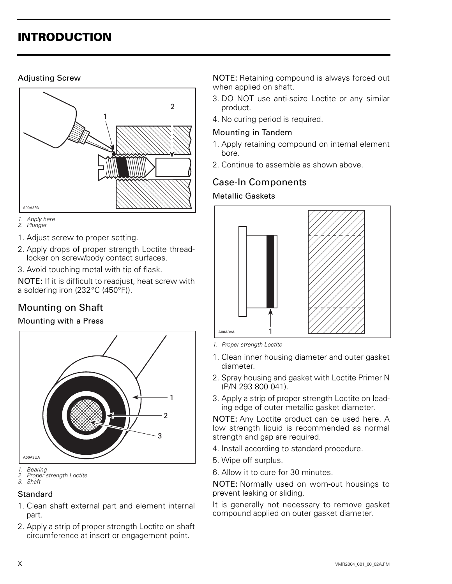#### Adjusting Screw



- *1. Apply here*
- *2. Plunger*
- 1. Adjust screw to proper setting.
- 2. Apply drops of proper strength Loctite threadlocker on screw/body contact surfaces.
- 3. Avoid touching metal with tip of flask.

NOTE: If it is difficult to readjust, heat screw with a soldering iron (232°C (450°F)).

# Mounting on Shaft

#### Mounting with a Press



#### **Standard**

- 1. Clean shaft external part and element internal part.
- 2. Apply a strip of proper strength Loctite on shaft circumference at insert or engagement point.

NOTE: Retaining compound is always forced out when applied on shaft.

- 3. DO NOT use anti-seize Loctite or any similar product.
- 4. No curing period is required.

#### Mounting in Tandem

- 1. Apply retaining compound on internal element bore.
- 2. Continue to assemble as shown above.

#### Case-In Components

#### Metallic Gaskets



*1. Proper strength Loctite*

- 1. Clean inner housing diameter and outer gasket diameter.
- 2. Spray housing and gasket with Loctite Primer N (P/N 293 800 041).
- 3. Apply a strip of proper strength Loctite on leading edge of outer metallic gasket diameter.

NOTE: Any Loctite product can be used here. A low strength liquid is recommended as normal strength and gap are required.

- 4. Install according to standard procedure.
- 5. Wipe off surplus.
- 6. Allow it to cure for 30 minutes.

NOTE: Normally used on worn-out housings to prevent leaking or sliding.

It is generally not necessary to remove gasket compound applied on outer gasket diameter.

*<sup>1.</sup> Bearing 2. Proper strength Loctite*

*<sup>3.</sup> Shaft*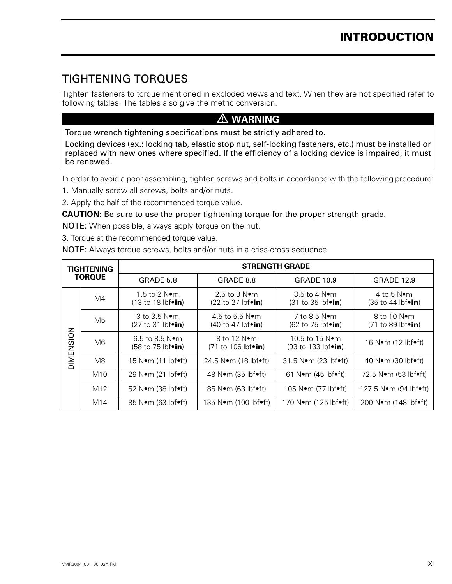# TIGHTENING TORQUES

Tighten fasteners to torque mentioned in exploded views and text. When they are not specified refer to following tables. The tables also give the metric conversion.

#### **WARNING**

Torque wrench tightening specifications must be strictly adhered to.

Locking devices (ex.: locking tab, elastic stop nut, self-locking fasteners, etc.) must be installed or replaced with new ones where specified. If the efficiency of a locking device is impaired, it must be renewed.

In order to avoid a poor assembling, tighten screws and bolts in accordance with the following procedure:

- 1. Manually screw all screws, bolts and/or nuts.
- 2. Apply the half of the recommended torque value.

#### **CAUTION:** Be sure to use the proper tightening torque for the proper strength grade.

NOTE: When possible, always apply torque on the nut.

3. Torque at the recommended torque value.

NOTE: Always torque screws, bolts and/or nuts in a criss-cross sequence.

|           | <b>TIGHTENING</b> |                                                                                       | <b>STRENGTH GRADE</b>                                                   |                                                                               |                                                                    |
|-----------|-------------------|---------------------------------------------------------------------------------------|-------------------------------------------------------------------------|-------------------------------------------------------------------------------|--------------------------------------------------------------------|
|           | <b>TORQUE</b>     | GRADE 5.8                                                                             | GRADE 8.8                                                               | <b>GRADE 10.9</b>                                                             | <b>GRADE 12.9</b>                                                  |
|           | M4                | 1.5 to 2 $N$ •m<br>$(13 \text{ to } 18 \text{ lbf} \cdot \text{in})$                  | 2.5 to 3 $N$ $\bullet$ m<br>$(22 \text{ to } 27 \text{ lbf})$           | $3.5$ to 4 N $\bullet$ m<br>$(31 \text{ to } 35 \text{ lbf} \cdot \text{in})$ | 4 to 5 $N$ •m<br>$(35 \text{ to } 44 \text{ lbf} \cdot \text{in})$ |
|           | M5                | $3$ to $3.5$ N $\bullet$ m<br>$(27 to 31 lb$ foin)                                    | 4.5 to 5.5 $N$ • m<br>$(40 \text{ to } 47 \text{ lbf} \cdot \text{in})$ | 7 to 8.5 $N$ •m<br>$(62 \text{ to } 75 \text{ lbf} \cdot \text{in})$          | 8 to 10 N•m<br>$(71 to 89 lbf\cdot in)$                            |
| DIMENSION | M <sub>6</sub>    | $6.5 \text{ to } 8.5 \text{ N} \bullet \text{m}$<br>$(58 \text{ to } 75 \text{ lbf})$ | 8 to 12 $N$ •m<br>$(71 \text{ to } 106 \text{ lbf} \cdot \text{in})$    | 10.5 to 15 $N$ •m<br>$(93 \text{ to } 133 \text{ lbf} \cdot \text{in})$       | 16 N $\bullet$ m (12 lbf $\bullet$ ft)                             |
|           | M <sub>8</sub>    | $15$ N $\bullet$ m (11 lbf $\bullet$ ft)                                              | 24.5 Nom (18 lbfoft)                                                    | 31.5 $N$ •m (23 lbf•ft)                                                       | 40 N $\bullet$ m (30 lbf $\bullet$ ft)                             |
|           | M <sub>10</sub>   | 29 N $\bullet$ m (21 lbf $\bullet$ ft)                                                | 48 N $\bullet$ m (35 lbf $\bullet$ ft)                                  | $61$ N $\bullet$ m (45 lbf $\bullet$ ft)                                      | 72.5 N•m (53 lbf•ft)                                               |
|           | M <sub>12</sub>   | $52$ N $\bullet$ m (38 lbf $\bullet$ ft)                                              | $85$ N $\bullet$ m (63 lbf $\bullet$ ft)                                | $105$ N $\bullet$ m (77 lbf $\bullet$ ft)                                     | 127.5 $N$ •m (94 lbf•ft)                                           |
|           | M14               | $85$ N $\bullet$ m (63 lbf $\bullet$ ft)                                              | 135 N●m (100 lbf●ft)                                                    | 170 N•m (125 lbf•ft)                                                          | 200 Nom (148 lbfoft)                                               |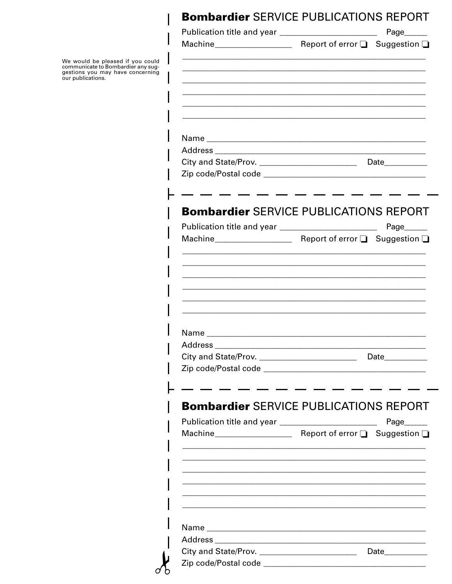# **Bombardier SERVICE PUBLICATIONS REPORT**

|                                                          | Page______                                                                                                           |
|----------------------------------------------------------|----------------------------------------------------------------------------------------------------------------------|
|                                                          |                                                                                                                      |
|                                                          |                                                                                                                      |
|                                                          |                                                                                                                      |
|                                                          |                                                                                                                      |
|                                                          |                                                                                                                      |
|                                                          |                                                                                                                      |
|                                                          |                                                                                                                      |
|                                                          |                                                                                                                      |
|                                                          |                                                                                                                      |
| Publication title and year _______________________       | <b>Bombardier SERVICE PUBLICATIONS REPORT</b><br>Page______                                                          |
|                                                          |                                                                                                                      |
| <u> 1980 - Johann John Stone, mars eta biztanleria (</u> |                                                                                                                      |
|                                                          | <u> 1980 - Jan Barbara, manazarta da </u>                                                                            |
|                                                          |                                                                                                                      |
|                                                          |                                                                                                                      |
|                                                          |                                                                                                                      |
|                                                          |                                                                                                                      |
|                                                          |                                                                                                                      |
|                                                          | <u> 1990 - Johann Barbara, martin d</u>                                                                              |
|                                                          | <b>Bombardier SERVICE PUBLICATIONS REPORT</b><br>$Page$ <sub>________</sub>                                          |
|                                                          | <u> 1980 - Johann John Stone, markin film ar yn y brenin y brenin y brenin y brenin y brenin y brenin y brenin y</u> |
|                                                          |                                                                                                                      |
|                                                          |                                                                                                                      |
|                                                          |                                                                                                                      |
|                                                          | Date____________                                                                                                     |



 $\mathbf{I}$ 

We would be pleased if you could<br>communicate to Bombardier any sug-<br>gestions you may have concerning<br>our publications.